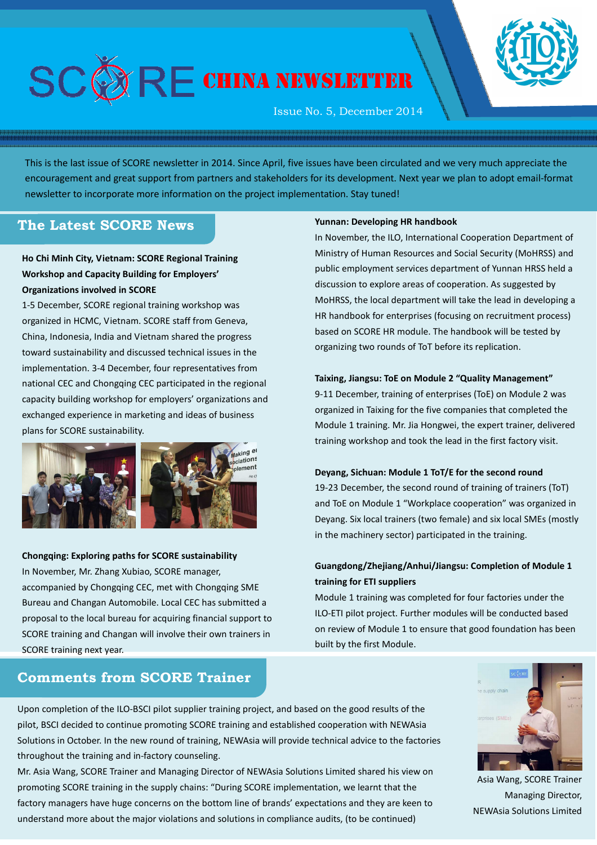

# $\mathsf{R}\mathsf{F}$  china newsletter

Issue No. 5, December 2014

This is the last issue of SCORE newsletter in 2014. Since April, five issues have been circulated and we very much appreciate the encouragement and great support from partners and stakeholders for its development. Next year we plan to adopt email-format newsletter to incorporate more information on the project implementation. Stay tuned!

# **The Latest SCORE News**

## **Ho Chi Minh City, Vietnam: SCORE Regional Training Workshop and Capacity Building for Employers' Organizations involved in SCORE**

1-5 December, SCORE regional training workshop was organized in HCMC, Vietnam. SCORE staff from Geneva, China, Indonesia, India and Vietnam shared the progress toward sustainability and discussed technical issues in the implementation. 3-4 December, four representatives from national CEC and Chongqing CEC participated in the regional capacity building workshop for employers' organizations and exchanged experience in marketing and ideas of business plans for SCORE sustainability.



## **Chongqing: Exploring paths for SCORE sustainability** In November, Mr. Zhang Xubiao, SCORE manager, accompanied by Chongqing CEC, met with Chongqing SME Bureau and Changan Automobile. Local CEC has submitted a proposal to the local bureau for acquiring financial support to SCORE training and Changan will involve their own trainers in SCORE training next year.

# **Comments from SCORE Trainer**

#### **Yunnan: Developing HR handbook**

In November, the ILO, International Cooperation Department of Ministry of Human Resources and Social Security (MoHRSS) and public employment services department of Yunnan HRSS held a discussion to explore areas of cooperation. As suggested by MoHRSS, the local department will take the lead in developing a HR handbook for enterprises (focusing on recruitment process) based on SCORE HR module. The handbook will be tested by organizing two rounds of ToT before its replication.

#### **Taixing, Jiangsu: ToE on Module 2 "Quality Management"**

9-11 December, training of enterprises (ToE) on Module 2 was organized in Taixing for the five companies that completed the Module 1 training. Mr. Jia Hongwei, the expert trainer, delivered training workshop and took the lead in the first factory visit.

#### **Deyang, Sichuan: Module 1 ToT/E for the second round**

19-23 December, the second round of training of trainers (ToT) and ToE on Module 1 "Workplace cooperation" was organized in Deyang. Six local trainers (two female) and six local SMEs (mostly in the machinery sector) participated in the training.

## **Guangdong/Zhejiang/Anhui/Jiangsu: Completion of Module 1 training for ETI suppliers**

Module 1 training was completed for four factories under the ILO-ETI pilot project. Further modules will be conducted based on review of Module 1 to ensure that good foundation has been built by the first Module.



 Asia Wang, SCORE Trainer Managing Director, NEWAsia Solutions Limited

Upon completion of the ILO-BSCI pilot supplier training project, and based on the good results of the pilot, BSCI decided to continue promoting SCORE training and established cooperation with NEWAsia Solutions in October. In the new round of training, NEWAsia will provide technical advice to the factories throughout the training and in-factory counseling.

Mr. Asia Wang, SCORE Trainer and Managing Director of NEWAsia Solutions Limited shared his view on promoting SCORE training in the supply chains: "During SCORE implementation, we learnt that the factory managers have huge concerns on the bottom line of brands' expectations and they are keen to understand more about the major violations and solutions in compliance audits, (to be continued)